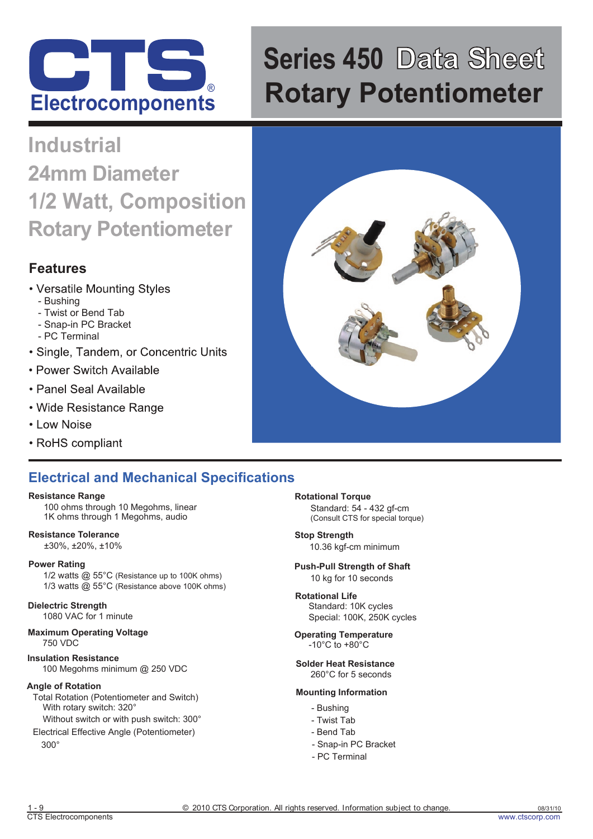

# **Series 450 Data Sheet Rotary Potentiometer**

# **Industrial 24mm Diameter 1/2 Watt, Composition Rotary Potentiometer**

# **Features**

- Versatile Mounting Styles
	- Bushing
	- Twist or Bend Tab
	- Snap-in PC Bracket
	- PC Terminal
- Single, Tandem, or Concentric Units
- Power Switch Available
- Panel Seal Available
- Wide Resistance Range
- Low Noise
- RoHS compliant

# **Electrical and Mechanical Specifications**

### **Resistance Range**

100 ohms through 10 Megohms, linear 1K ohms through 1 Megohms, audio

**Resistance Tolerance** ±30%, ±20%, ±10%

### **Power Rating**

1/2 watts @ 55°C (Resistance up to 100K ohms) 1/3 watts @ 55°C (Resistance above 100K ohms)

# **Dielectric Strength**

1080 VAC for 1 minute

#### **Maximum Operating Voltage** 750 VDC

**Insulation Resistance** 100 Megohms minimum @ 250 VDC

### **Angle of Rotation**

- Total Rotation (Potentiometer and Switch) With rotary switch: 320°
- Without switch or with push switch: 300°
- 300° Electrical Effective Angle (Potentiometer)

**Rotational Torque**  Standard: 54 - 432 gf-cm (Consult CTS for special torque)

**Stop Strength**  10.36 kgf-cm minimum

# **Push-Pull Strength of Shaft**

10 kg for 10 seconds

#### **Rotational Life** Standard: 10K cycles Special: 100K, 250K cycles

**Operating Temperature** -10°C to +80°C

#### **Solder Heat Resistance** 260°C for 5 seconds

### **Mounting Information**

- Bushing
- Twist Tab
- Bend Tab
- Snap-in PC Bracket
- PC Terminal

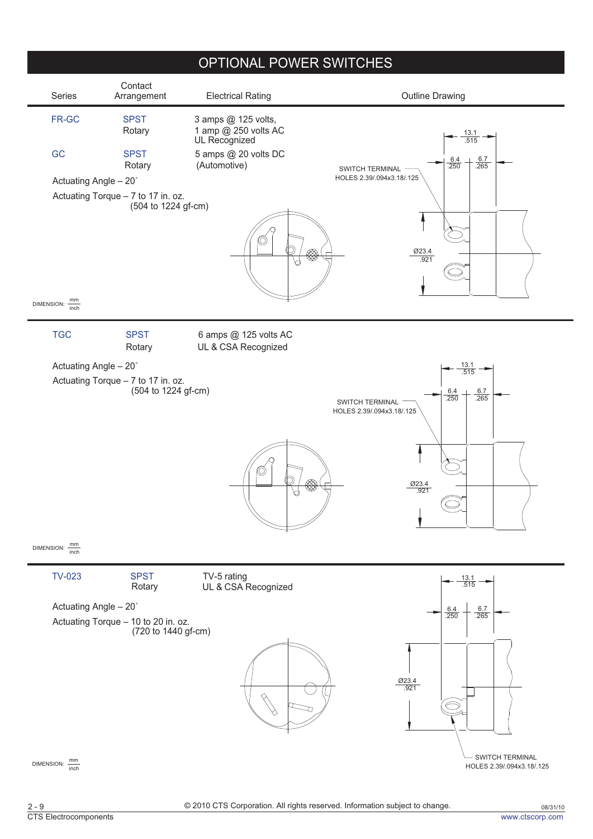# OPTIONAL POWER SWITCHES

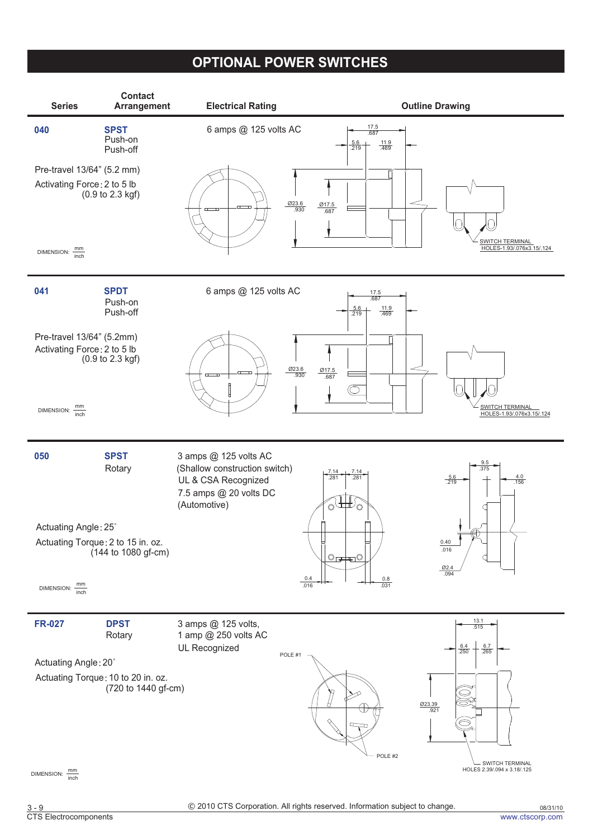# **OPTIONAL POWER SWITCHES**

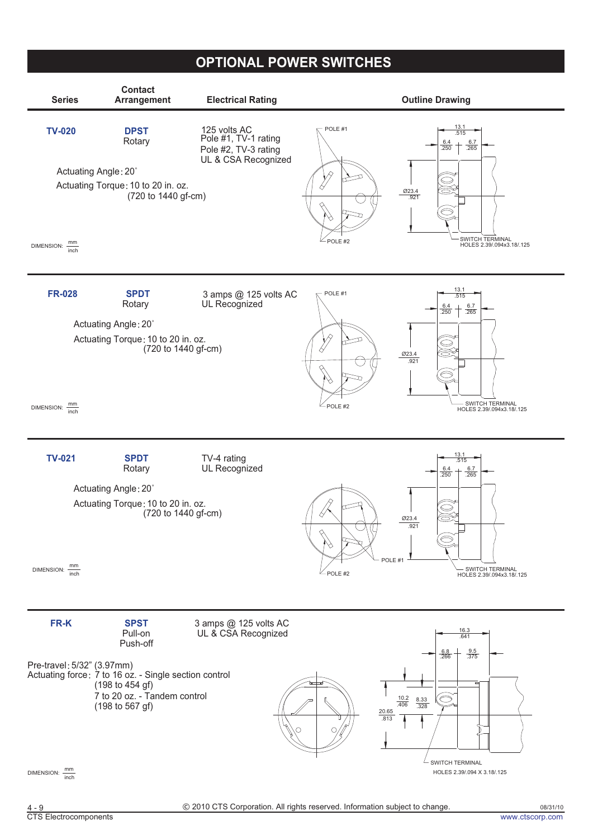# **OPTIONAL POWER SWITCHES**

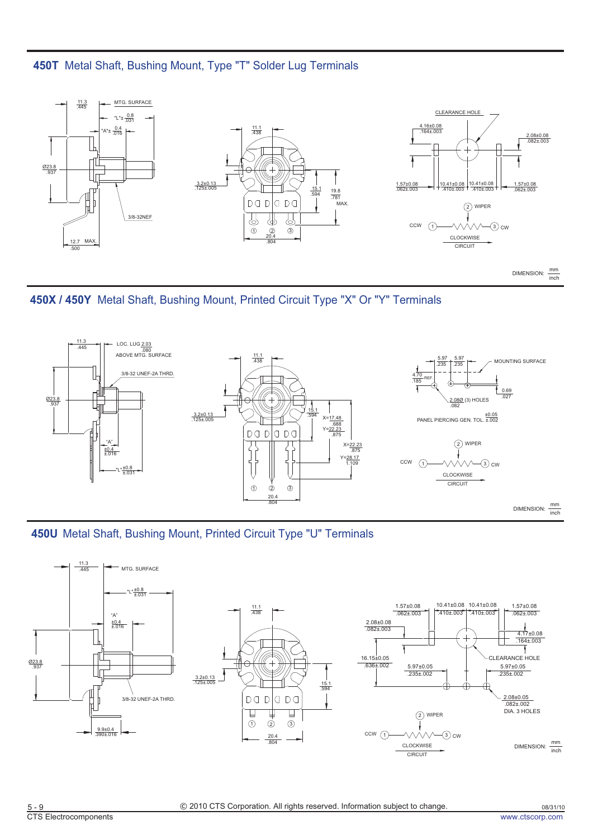



DIMENSION:  $\frac{mm}{inch}$ 





DIMENSION:  $\frac{mm}{inch}$ 



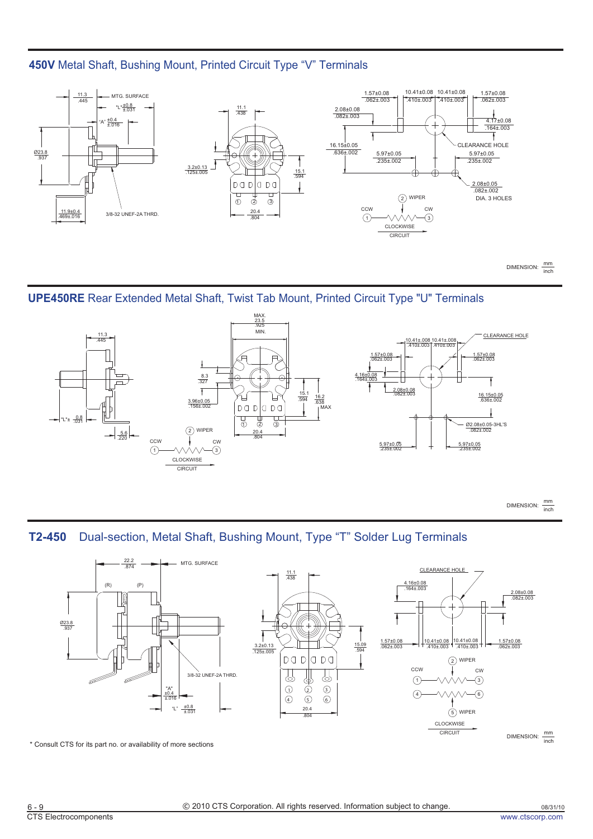# **450V** Metal Shaft, Bushing Mount, Printed Circuit Type "V" Terminals







DIMENSION:  $\frac{mm}{inch}$ 

**T2-450** Dual-section, Metal Shaft, Bushing Mount, Type "T" Solder Lug Terminals



\* Consult CTS for its part no. or availability of more sections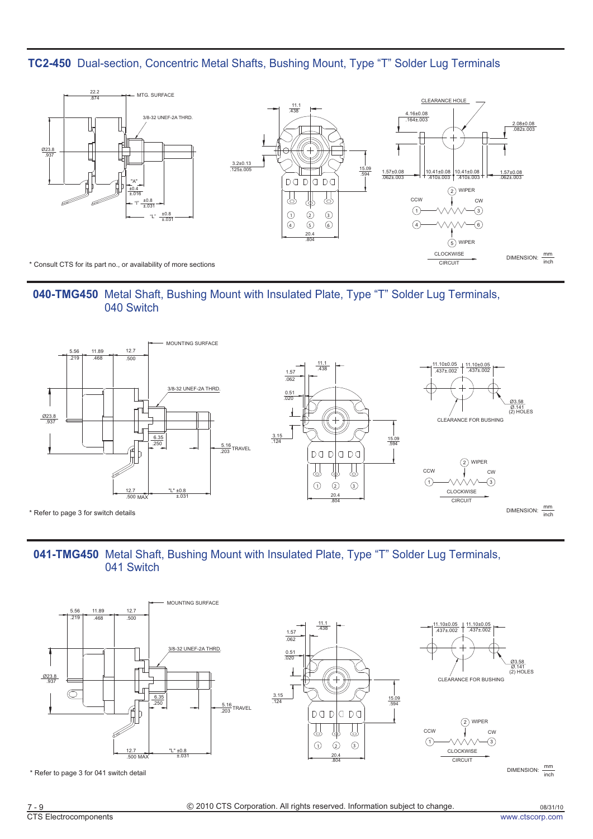**TC2-450** Dual-section, Concentric Metal Shafts, Bushing Mount, Type "T" Solder Lug Terminals



040-TMG450 Metal Shaft, Bushing Mount with Insulated Plate, Type "T" Solder Lug Terminals, 040 Switch



# 041-TMG450 Metal Shaft, Bushing Mount with Insulated Plate, Type "T" Solder Lug Terminals, 041 Switch



DIMENSION:  $\frac{mm}{inch}$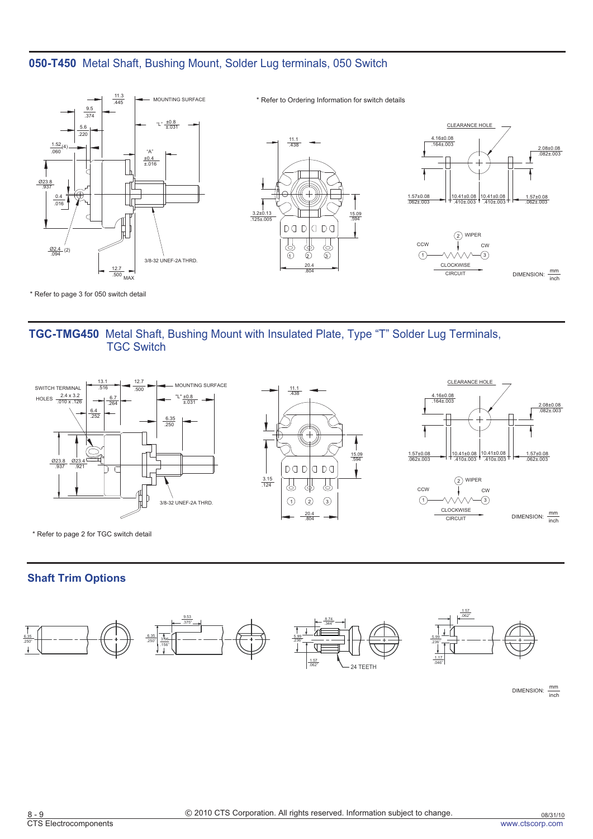# **050-T450** Metal Shaft, Bushing Mount, Solder Lug terminals, 050 Switch



\* Refer to page 3 for 050 switch detail

# **TGC-TMG450** Metal Shaft, Bushing Mount with Insulated Plate, Type "T" Solder Lug Terminals, TGC Switch



\* Refer to page 2 for TGC switch detail

### **Shaft Trim Options**



DIMENSION:  $\frac{mm}{inch}$